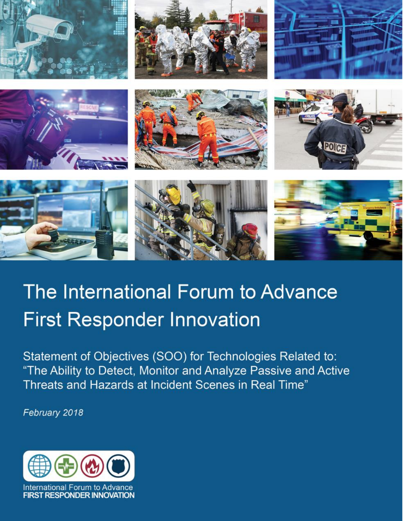













# The International Forum to Advance **First Responder Innovation**

Statement of Objectives (SOO) for Technologies Related to: "The Ability to Detect, Monitor and Analyze Passive and Active Threats and Hazards at Incident Scenes in Real Time"

February 2018

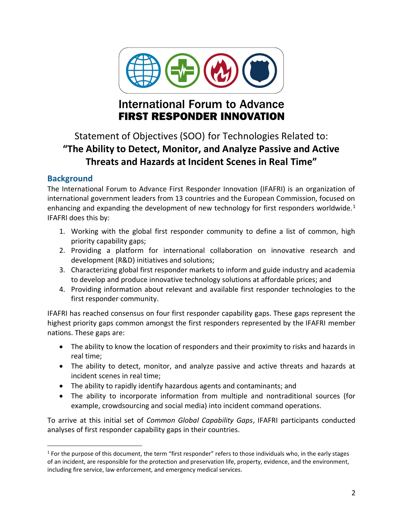

# **International Forum to Advance FIRST RESPONDER INNOVATION**

# Statement of Objectives (SOO) for Technologies Related to: **"The Ability to Detect, Monitor, and Analyze Passive and Active Threats and Hazards at Incident Scenes in Real Time"**

# **Background**

The International Forum to Advance First Responder Innovation (IFAFRI) is an organization of international government leaders from 13 countries and the European Commission, focused on enhancing and expanding the development of new technology for first responders worldwide.<sup>1</sup> IFAFRI does this by:

- 1. Working with the global first responder community to define a list of common, high priority capability gaps;
- 2. Providing a platform for international collaboration on innovative research and development (R&D) initiatives and solutions;
- 3. Characterizing global first responder markets to inform and guide industry and academia to develop and produce innovative technology solutions at affordable prices; and
- 4. Providing information about relevant and available first responder technologies to the first responder community.

IFAFRI has reached consensus on four first responder capability gaps. These gaps represent the highest priority gaps common amongst the first responders represented by the IFAFRI member nations. These gaps are:

- The ability to know the location of responders and their proximity to risks and hazards in real time;
- The ability to detect, monitor, and analyze passive and active threats and hazards at incident scenes in real time;
- The ability to rapidly identify hazardous agents and contaminants; and
- The ability to incorporate information from multiple and nontraditional sources (for example, crowdsourcing and social media) into incident command operations.

To arrive at this initial set of *Common Global Capability Gaps*, IFAFRI participants conducted analyses of first responder capability gaps in their countries.

 $\overline{a}$  $1$  For the purpose of this document, the term "first responder" refers to those individuals who, in the early stages of an incident, are responsible for the protection and preservation life, property, evidence, and the environment, including fire service, law enforcement, and emergency medical services.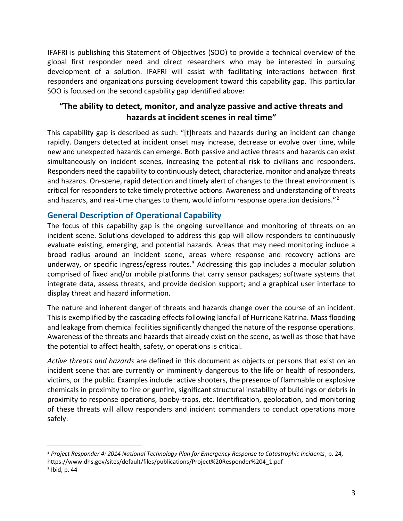IFAFRI is publishing this Statement of Objectives (SOO) to provide a technical overview of the global first responder need and direct researchers who may be interested in pursuing development of a solution. IFAFRI will assist with facilitating interactions between first responders and organizations pursuing development toward this capability gap. This particular SOO is focused on the second capability gap identified above:

# **"The ability to detect, monitor, and analyze passive and active threats and hazards at incident scenes in real time"**

This capability gap is described as such: "[t]hreats and hazards during an incident can change rapidly. Dangers detected at incident onset may increase, decrease or evolve over time, while new and unexpected hazards can emerge. Both passive and active threats and hazards can exist simultaneously on incident scenes, increasing the potential risk to civilians and responders. Responders need the capability to continuously detect, characterize, monitor and analyze threats and hazards. On-scene, rapid detection and timely alert of changes to the threat environment is critical for responders to take timely protective actions. Awareness and understanding of threats and hazards, and real-time changes to them, would inform response operation decisions."<sup>2</sup>

# **General Description of Operational Capability**

The focus of this capability gap is the ongoing surveillance and monitoring of threats on an incident scene. Solutions developed to address this gap will allow responders to continuously evaluate existing, emerging, and potential hazards. Areas that may need monitoring include a broad radius around an incident scene, areas where response and recovery actions are underway, or specific ingress/egress routes.<sup>3</sup> Addressing this gap includes a modular solution comprised of fixed and/or mobile platforms that carry sensor packages; software systems that integrate data, assess threats, and provide decision support; and a graphical user interface to display threat and hazard information.

The nature and inherent danger of threats and hazards change over the course of an incident. This is exemplified by the cascading effects following landfall of Hurricane Katrina. Mass flooding and leakage from chemical facilities significantly changed the nature of the response operations. Awareness of the threats and hazards that already exist on the scene, as well as those that have the potential to affect health, safety, or operations is critical.

*Active threats and hazards* are defined in this document as objects or persons that exist on an incident scene that **are** currently or imminently dangerous to the life or health of responders, victims, or the public. Examples include: active shooters, the presence of flammable or explosive chemicals in proximity to fire or gunfire, significant structural instability of buildings or debris in proximity to response operations, booby-traps, etc. Identification, geolocation, and monitoring of these threats will allow responders and incident commanders to conduct operations more safely.

 $\overline{a}$ 

<sup>2</sup> *Project Responder 4: 2014 National Technology Plan for Emergency Response to Catastrophic Incidents*, p. 24, https://www.dhs.gov/sites/default/files/publications/Project%20Responder%204\_1.pdf

<sup>&</sup>lt;sup>3</sup> Ibid, p. 44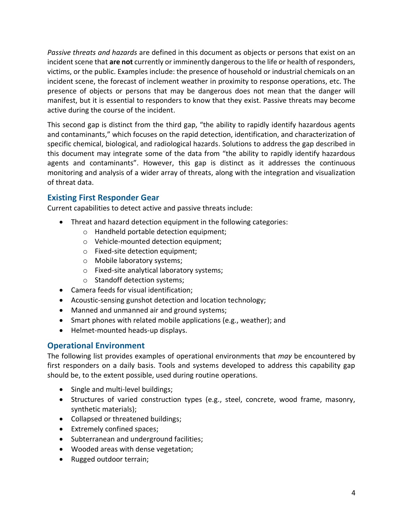*Passive threats and hazards* are defined in this document as objects or persons that exist on an incident scene that **are not** currently or imminently dangerous to the life or health of responders, victims, or the public. Examples include: the presence of household or industrial chemicals on an incident scene, the forecast of inclement weather in proximity to response operations, etc. The presence of objects or persons that may be dangerous does not mean that the danger will manifest, but it is essential to responders to know that they exist. Passive threats may become active during the course of the incident.

This second gap is distinct from the third gap, "the ability to rapidly identify hazardous agents and contaminants," which focuses on the rapid detection, identification, and characterization of specific chemical, biological, and radiological hazards. Solutions to address the gap described in this document may integrate some of the data from "the ability to rapidly identify hazardous agents and contaminants". However, this gap is distinct as it addresses the continuous monitoring and analysis of a wider array of threats, along with the integration and visualization of threat data.

### **Existing First Responder Gear**

Current capabilities to detect active and passive threats include:

- Threat and hazard detection equipment in the following categories:
	- o Handheld portable detection equipment;
	- o Vehicle-mounted detection equipment;
	- o Fixed-site detection equipment;
	- o Mobile laboratory systems;
	- o Fixed-site analytical laboratory systems;
	- o Standoff detection systems;
- Camera feeds for visual identification;
- Acoustic-sensing gunshot detection and location technology;
- Manned and unmanned air and ground systems;
- Smart phones with related mobile applications (e.g., weather); and
- Helmet-mounted heads-up displays.

### **Operational Environment**

The following list provides examples of operational environments that *may* be encountered by first responders on a daily basis. Tools and systems developed to address this capability gap should be, to the extent possible, used during routine operations.

- Single and multi-level buildings;
- Structures of varied construction types (e.g., steel, concrete, wood frame, masonry, synthetic materials);
- Collapsed or threatened buildings;
- Extremely confined spaces;
- Subterranean and underground facilities;
- Wooded areas with dense vegetation;
- Rugged outdoor terrain;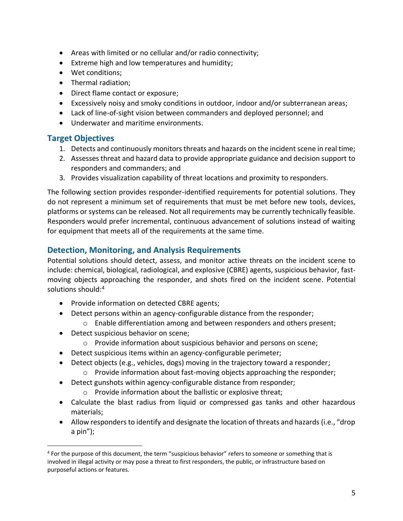- Areas with limited or no cellular and/or radio connectivity;
- Extreme high and low temperatures and humidity;
- Wet conditions;
- Thermal radiation;
- Direct flame contact or exposure;
- Excessively noisy and smoky conditions in outdoor, indoor and/or subterranean areas;
- Lack of line-of-sight vision between commanders and deployed personnel; and
- Underwater and maritime environments.

# **Target Objectives**

 $\overline{a}$ 

- 1. Detects and continuously monitors threats and hazards on the incident scene in real time;
- 2. Assesses threat and hazard data to provide appropriate guidance and decision support to responders and commanders; and
- 3. Provides visualization capability of threat locations and proximity to responders.

The following section provides responder-identified requirements for potential solutions. They do not represent a minimum set of requirements that must be met before new tools, devices, platforms or systems can be released. Not all requirements may be currently technically feasible. Responders would prefer incremental, continuous advancement of solutions instead of waiting for equipment that meets all of the requirements at the same time.

### **Detection, Monitoring, and Analysis Requirements**

Potential solutions should detect, assess, and monitor active threats on the incident scene to include: chemical, biological, radiological, and explosive (CBRE) agents, suspicious behavior, fastmoving objects approaching the responder, and shots fired on the incident scene. Potential solutions should:<sup>4</sup>

- Provide information on detected CBRE agents;
- Detect persons within an agency-configurable distance from the responder;
	- $\circ$  Enable differentiation among and between responders and others present;
- Detect suspicious behavior on scene;
	- o Provide information about suspicious behavior and persons on scene;
- Detect suspicious items within an agency-configurable perimeter;
- Detect objects (e.g., vehicles, dogs) moving in the trajectory toward a responder;
	- o Provide information about fast-moving objects approaching the responder;
- Detect gunshots within agency-configurable distance from responder;
	- o Provide information about the ballistic or explosive threat;
- Calculate the blast radius from liquid or compressed gas tanks and other hazardous materials;
- Allow responders to identify and designate the location of threats and hazards (i.e., "drop a pin");

<sup>4</sup> For the purpose of this document, the term "suspicious behavior" refers to someone or something that is involved in illegal activity or may pose a threat to first responders, the public, or infrastructure based on purposeful actions or features.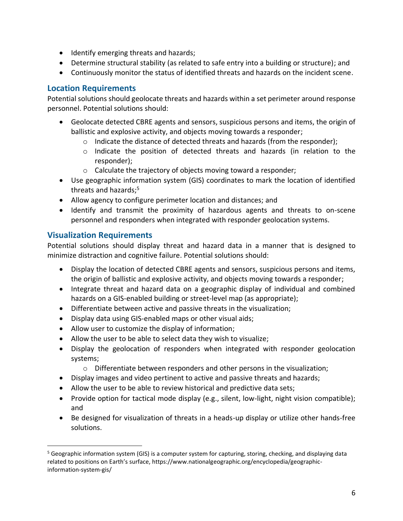- Identify emerging threats and hazards;
- Determine structural stability (as related to safe entry into a building or structure); and
- Continuously monitor the status of identified threats and hazards on the incident scene.

# **Location Requirements**

Potential solutions should geolocate threats and hazards within a set perimeter around response personnel. Potential solutions should:

- Geolocate detected CBRE agents and sensors, suspicious persons and items, the origin of ballistic and explosive activity, and objects moving towards a responder;
	- $\circ$  Indicate the distance of detected threats and hazards (from the responder);
	- o Indicate the position of detected threats and hazards (in relation to the responder);
	- o Calculate the trajectory of objects moving toward a responder;
- Use geographic information system (GIS) coordinates to mark the location of identified threats and hazards;<sup>5</sup>
- Allow agency to configure perimeter location and distances; and
- Identify and transmit the proximity of hazardous agents and threats to on-scene personnel and responders when integrated with responder geolocation systems.

# **Visualization Requirements**

 $\overline{a}$ 

Potential solutions should display threat and hazard data in a manner that is designed to minimize distraction and cognitive failure. Potential solutions should:

- Display the location of detected CBRE agents and sensors, suspicious persons and items, the origin of ballistic and explosive activity, and objects moving towards a responder;
- Integrate threat and hazard data on a geographic display of individual and combined hazards on a GIS-enabled building or street-level map (as appropriate);
- Differentiate between active and passive threats in the visualization;
- Display data using GIS-enabled maps or other visual aids;
- Allow user to customize the display of information;
- Allow the user to be able to select data they wish to visualize;
- Display the geolocation of responders when integrated with responder geolocation systems;
	- o Differentiate between responders and other persons in the visualization;
- Display images and video pertinent to active and passive threats and hazards;
- Allow the user to be able to review historical and predictive data sets;
- Provide option for tactical mode display (e.g., silent, low-light, night vision compatible); and
- Be designed for visualization of threats in a heads-up display or utilize other hands-free solutions.

<sup>5</sup> Geographic information system (GIS) is a computer system for capturing, storing, checking, and displaying data related to positions on Earth's surface, https://www.nationalgeographic.org/encyclopedia/geographicinformation-system-gis/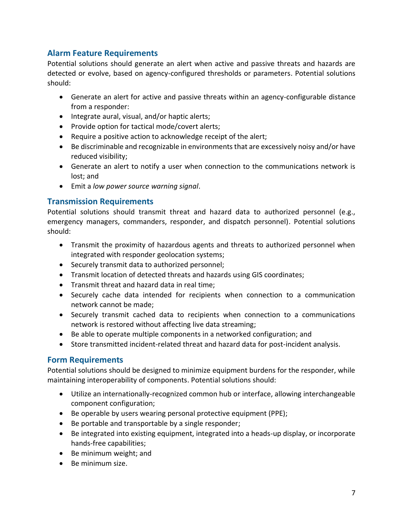# **Alarm Feature Requirements**

Potential solutions should generate an alert when active and passive threats and hazards are detected or evolve, based on agency-configured thresholds or parameters. Potential solutions should:

- Generate an alert for active and passive threats within an agency-configurable distance from a responder:
- Integrate aural, visual, and/or haptic alerts;
- Provide option for tactical mode/covert alerts;
- Require a positive action to acknowledge receipt of the alert;
- Be discriminable and recognizable in environments that are excessively noisy and/or have reduced visibility;
- Generate an alert to notify a user when connection to the communications network is lost; and
- Emit a *low power source warning signal*.

# **Transmission Requirements**

Potential solutions should transmit threat and hazard data to authorized personnel (e.g., emergency managers, commanders, responder, and dispatch personnel). Potential solutions should:

- Transmit the proximity of hazardous agents and threats to authorized personnel when integrated with responder geolocation systems;
- Securely transmit data to authorized personnel;
- Transmit location of detected threats and hazards using GIS coordinates;
- Transmit threat and hazard data in real time;
- Securely cache data intended for recipients when connection to a communication network cannot be made;
- Securely transmit cached data to recipients when connection to a communications network is restored without affecting live data streaming;
- Be able to operate multiple components in a networked configuration; and
- Store transmitted incident-related threat and hazard data for post-incident analysis.

### **Form Requirements**

Potential solutions should be designed to minimize equipment burdens for the responder, while maintaining interoperability of components. Potential solutions should:

- Utilize an internationally-recognized common hub or interface, allowing interchangeable component configuration;
- Be operable by users wearing personal protective equipment (PPE);
- Be portable and transportable by a single responder;
- Be integrated into existing equipment, integrated into a heads-up display, or incorporate hands-free capabilities;
- Be minimum weight; and
- Be minimum size.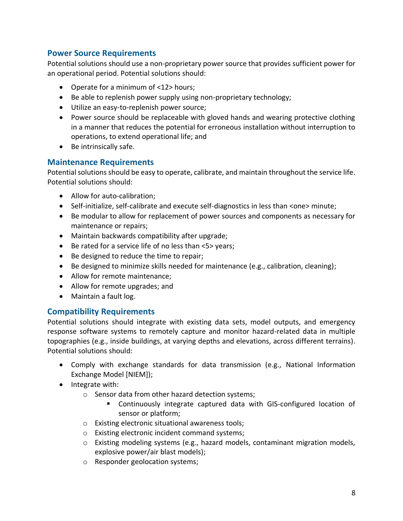# **Power Source Requirements**

Potential solutions should use a non-proprietary power source that provides sufficient power for an operational period. Potential solutions should:

- Operate for a minimum of <12> hours;
- Be able to replenish power supply using non-proprietary technology;
- Utilize an easy-to-replenish power source;
- Power source should be replaceable with gloved hands and wearing protective clothing in a manner that reduces the potential for erroneous installation without interruption to operations, to extend operational life; and
- Be intrinsically safe.

#### **Maintenance Requirements**

Potential solutions should be easy to operate, calibrate, and maintain throughout the service life. Potential solutions should:

- Allow for auto-calibration;
- Self-initialize, self-calibrate and execute self-diagnostics in less than <one> minute;
- Be modular to allow for replacement of power sources and components as necessary for maintenance or repairs;
- Maintain backwards compatibility after upgrade;
- Be rated for a service life of no less than <5> years;
- Be designed to reduce the time to repair;
- Be designed to minimize skills needed for maintenance (e.g., calibration, cleaning);
- Allow for remote maintenance:
- Allow for remote upgrades; and
- Maintain a fault log.

### **Compatibility Requirements**

Potential solutions should integrate with existing data sets, model outputs, and emergency response software systems to remotely capture and monitor hazard-related data in multiple topographies (e.g., inside buildings, at varying depths and elevations, across different terrains). Potential solutions should:

- Comply with exchange standards for data transmission (e.g., National Information Exchange Model [NIEM]);
- Integrate with:
	- o Sensor data from other hazard detection systems;
		- Continuously integrate captured data with GIS-configured location of sensor or platform;
	- o Existing electronic situational awareness tools;
	- o Existing electronic incident command systems;
	- $\circ$  Existing modeling systems (e.g., hazard models, contaminant migration models, explosive power/air blast models);
	- o Responder geolocation systems;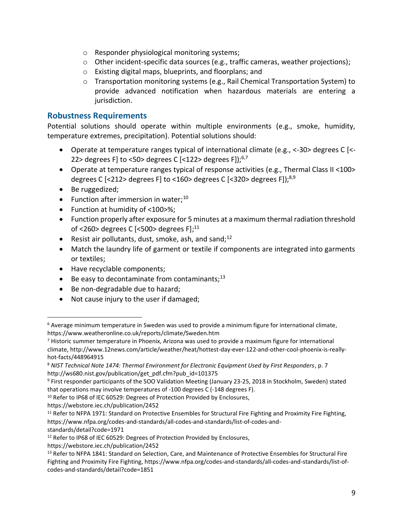- o Responder physiological monitoring systems;
- o Other incident-specific data sources (e.g., traffic cameras, weather projections);
- o Existing digital maps, blueprints, and floorplans; and
- $\circ$  Transportation monitoring systems (e.g., Rail Chemical Transportation System) to provide advanced notification when hazardous materials are entering a jurisdiction.

## **Robustness Requirements**

Potential solutions should operate within multiple environments (e.g., smoke, humidity, temperature extremes, precipitation). Potential solutions should:

- Operate at temperature ranges typical of international climate (e.g., <-30> degrees C [<- 22> degrees F] to <50> degrees C [<122> degrees F]);<sup>6,7</sup>
- Operate at temperature ranges typical of response activities (e.g., Thermal Class II <100> degrees C [<212> degrees F] to <160> degrees C [<320> degrees F]);<sup>8,9</sup>
- Be ruggedized;

 $\overline{a}$ 

- Function after immersion in water; $^{10}$
- Function at humidity of <100>%;
- Function properly after exposure for 5 minutes at a maximum thermal radiation threshold of <260> degrees C [<500> degrees F];<sup>11</sup>
- Resist air pollutants, dust, smoke, ash, and sand;<sup>12</sup>
- Match the laundry life of garment or textile if components are integrated into garments or textiles;
- Have recyclable components;
- $\bullet$  Be easy to decontaminate from contaminants;<sup>13</sup>
- Be non-degradable due to hazard;
- Not cause injury to the user if damaged;

https://webstore.iec.ch/publication/2452

<sup>6</sup> Average minimum temperature in Sweden was used to provide a minimum figure for international climate, https://www.weatheronline.co.uk/reports/climate/Sweden.htm

<sup>7</sup> Historic summer temperature in Phoenix, Arizona was used to provide a maximum figure for international climate, http://www.12news.com/article/weather/heat/hottest-day-ever-122-and-other-cool-phoenix-is-reallyhot-facts/448964915

<sup>8</sup> *NIST Technical Note 1474: Thermal Environment for Electronic Equipment Used by First Responders*, p. 7 http://ws680.nist.gov/publication/get\_pdf.cfm?pub\_id=101375

<sup>9</sup> First responder participants of the SOO Validation Meeting (January 23-25, 2018 in Stockholm, Sweden) stated that operations may involve temperatures of -100 degrees C (-148 degrees F).

<sup>&</sup>lt;sup>10</sup> Refer to IP68 of IEC 60529: Degrees of Protection Provided by Enclosures,

https://webstore.iec.ch/publication/2452

<sup>&</sup>lt;sup>11</sup> Refer to NFPA 1971: Standard on Protective Ensembles for Structural Fire Fighting and Proximity Fire Fighting, https://www.nfpa.org/codes-and-standards/all-codes-and-standards/list-of-codes-andstandards/detail?code=1971

<sup>&</sup>lt;sup>12</sup> Refer to IP68 of IEC 60529: Degrees of Protection Provided by Enclosures,

<sup>&</sup>lt;sup>13</sup> Refer to NFPA 1841: Standard on Selection, Care, and Maintenance of Protective Ensembles for Structural Fire Fighting and Proximity Fire Fighting, https://www.nfpa.org/codes-and-standards/all-codes-and-standards/list-ofcodes-and-standards/detail?code=1851